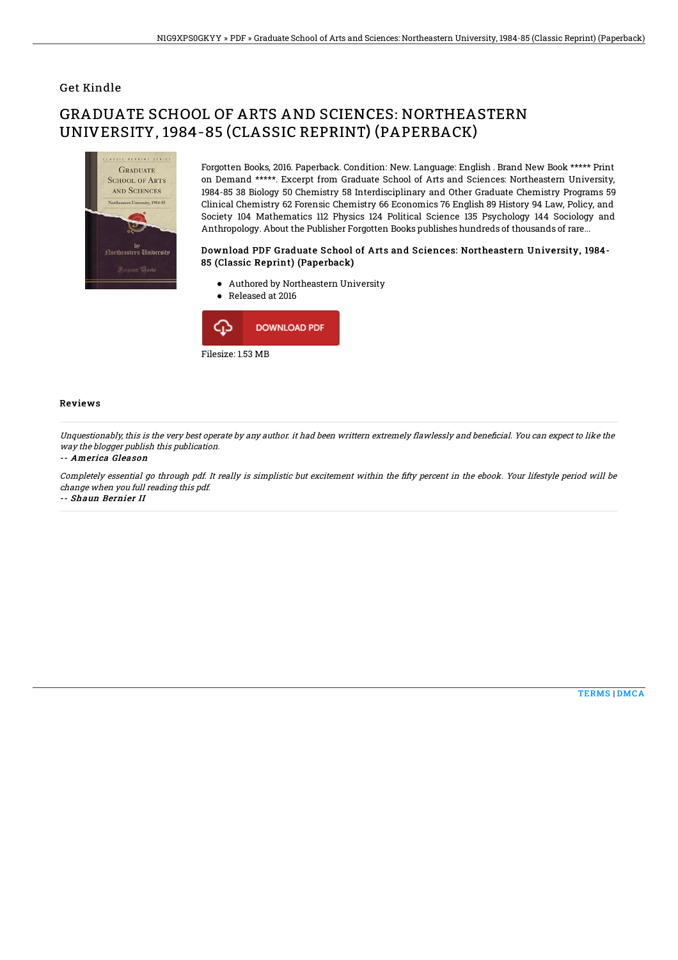## Get Kindle

# GRADUATE SCHOOL OF ARTS AND SCIENCES: NORTHEASTERN UNIVERSITY, 1984-85 (CLASSIC REPRINT) (PAPERBACK)



Forgotten Books, 2016. Paperback. Condition: New. Language: English . Brand New Book \*\*\*\*\* Print on Demand \*\*\*\*\*. Excerpt from Graduate School of Arts and Sciences: Northeastern University, 1984-85 38 Biology 50 Chemistry 58 Interdisciplinary and Other Graduate Chemistry Programs 59 Clinical Chemistry 62 Forensic Chemistry 66 Economics 76 English 89 History 94 Law, Policy, and Society 104 Mathematics 112 Physics 124 Political Science 135 Psychology 144 Sociology and Anthropology. About the Publisher Forgotten Books publishes hundreds of thousands of rare...

#### Download PDF Graduate School of Arts and Sciences: Northeastern University, 1984- 85 (Classic Reprint) (Paperback)

- Authored by Northeastern University
- Released at 2016



### Reviews

Unquestionably, this is the very best operate by any author, it had been writtern extremely flawlessly and beneficial. You can expect to like the way the blogger publish this publication.

#### -- America Gleason

Completely essential go through pdf. It really is simplistic but excitement within the fifty percent in the ebook. Your lifestyle period will be change when you full reading this pdf. -- Shaun Bernier II